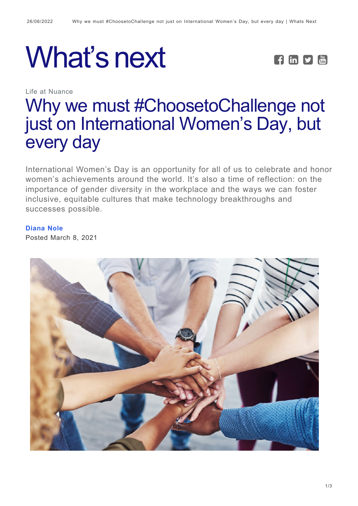## What's next **FEDE**



Life at Nuance

## [Why we must #ChoosetoChallenge not](https://whatsnext.nuance.com/life-at-nuance/international-womens-day-2021/) [just on International Women's Day, but](https://whatsnext.nuance.com/life-at-nuance/international-womens-day-2021/) [every day](https://whatsnext.nuance.com/life-at-nuance/international-womens-day-2021/)

International Women's Day is an opportunity for all of us to celebrate and honor women's achievements around the world. It's also a time of reflection: on the importance of gender diversity in the workplace and the ways we can foster inclusive, equitable cultures that make technology breakthroughs and successes possible.

## **[Diana Nole](https://whatsnext.nuance.com/author/diananole/)**

Posted March 8, 2021

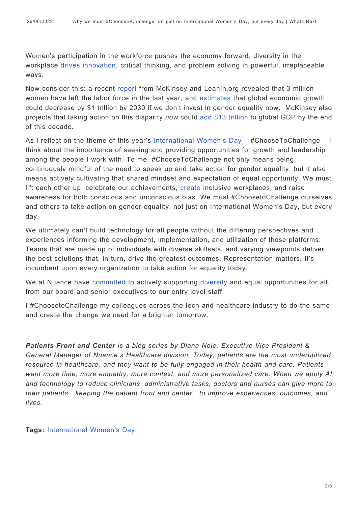Women's participation in the workforce pushes the economy forward; diversity in the workplace [drives innovation,](https://hbr.org/2013/12/how-diversity-can-drive-innovation) critical thinking, and problem solving in powerful, irreplaceable ways.

Now consider this: a recent [report](https://womenintheworkplace.com/) from McKinsey and LeanIn.org revealed that 3 million women have left the labor force in the last year, and [estimates](https://www.mckinsey.com/featured-insights/future-of-work/covid-19-and-gender-equality-countering-the-regressive-effects) that global economic growth could decrease by \$1 trillion by 2030 if we don't invest in gender equality now. McKinsey also projects that taking action on this disparity *now* could [add \\$13 trillion](https://www.mckinsey.com/featured-insights/future-of-work/covid-19-and-gender-equality-countering-the-regressive-effects) to global GDP by the end of this decade.

As I reflect on the theme of this year's [International Women's Day](https://www.internationalwomensday.com/) – #ChooseToChallenge – I think about the importance of seeking and providing opportunities for growth and leadership among the people I work with. To me, #ChooseToChallenge not only means being continuously mindful of the need to speak up and take action for gender equality, but it also means actively cultivating that shared mindset and expectation of equal opportunity. We must lift each other up, celebrate our achievements, [create](https://www.internationalwomensday.com/Mission/Work) inclusive workplaces, and raise awareness for both conscious and unconscious bias. We must #ChoosetoChallenge ourselves and others to take action on gender equality, not just on International Women's Day, but every day.

We ultimately can't build technology for all people without the differing perspectives and experiences informing the development, implementation, and utilization of those platforms. Teams that are made up of individuals with diverse skillsets, and varying viewpoints deliver the best solutions that, in turn, drive the greatest outcomes. Representation matters. It's incumbent upon every organization to take action for equality today.

We at Nuance have [committed](https://www.nuance.com/content/dam/nuance/en_us/collateral/corporate/reports/rpt-nuance-ESG-report-2020-en-us.pdf) to actively supporting [diversity](https://whatsnext.nuance.com/life-at-nuance/a-culture-of-diversity-where-everyone-feels-welcome-heard-and-valued/) and equal opportunities for all, from our board and senior executives to our entry level staff.

I #ChoosetoChallenge my colleagues across the tech and healthcare industry to do the same and create the change we need for a brighter tomorrow.

*Patients Front and Center is a blog series by Diana Nole, Executive Vice President & General Manager of Nuance's Healthcare division. Today, patients are the most underutilized resource in healthcare, and they want to be fully engaged in their health and care. Patients want more time, more empathy, more context, and more personalized care. When we apply AI and technology to reduce clinicians' administrative tasks, doctors and nurses can give more to their patients – keeping the patient front and center – to improve experiences, outcomes, and lives.*

**Tags:** [International Women's Day](https://whatsnext.nuance.com/tag/international-womens-day/)